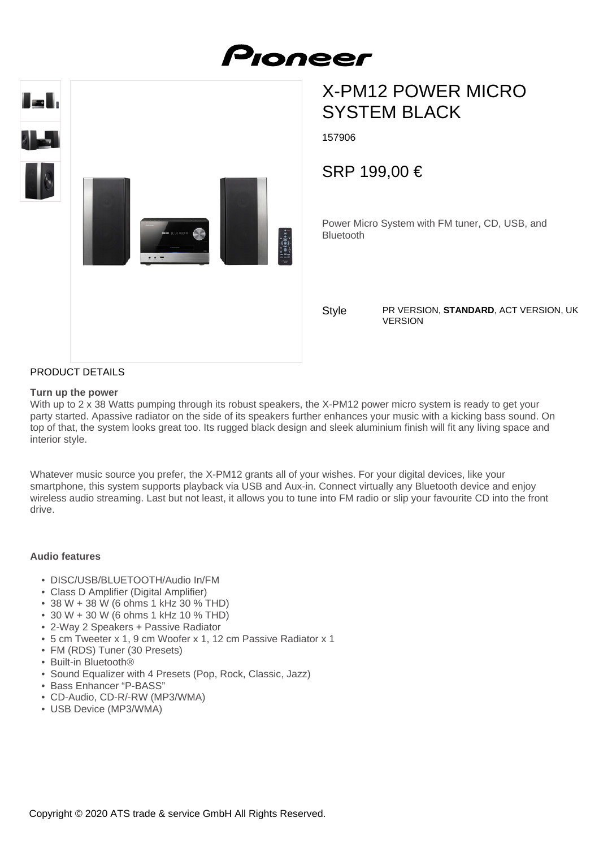

# X-PM12 POWER MICRO SYSTEM BLACK

157906

SRP 199,00 €

Power Micro System with FM tuner, CD, USB, and Bluetooth

**Style** 

PR VERSION, **STANDARD**, ACT VERSION, UK VERSION

### PRODUCT DETAILS

#### **Turn up the power**

With up to 2 x 38 Watts pumping through its robust speakers, the X-PM12 power micro system is ready to get your party started. Apassive radiator on the side of its speakers further enhances your music with a kicking bass sound. On top of that, the system looks great too. Its rugged black design and sleek aluminium finish will fit any living space and interior style.

Whatever music source you prefer, the X-PM12 grants all of your wishes. For your digital devices, like your smartphone, this system supports playback via USB and Aux-in. Connect virtually any Bluetooth device and enjoy wireless audio streaming. Last but not least, it allows you to tune into FM radio or slip your favourite CD into the front drive.

#### **Audio features**

- DISC/USB/BLUETOOTH/Audio In/FM
- Class D Amplifier (Digital Amplifier)
- 38 W + 38 W (6 ohms 1 kHz 30 % THD)
- 30 W + 30 W (6 ohms 1 kHz 10 % THD)
- 2-Way 2 Speakers + Passive Radiator
- 5 cm Tweeter x 1, 9 cm Woofer x 1, 12 cm Passive Radiator x 1
- FM (RDS) Tuner (30 Presets)
- Built-in Bluetooth®
- Sound Equalizer with 4 Presets (Pop, Rock, Classic, Jazz)
- Bass Enhancer "P-BASS"
- CD-Audio, CD-R/-RW (MP3/WMA)
- USB Device (MP3/WMA)